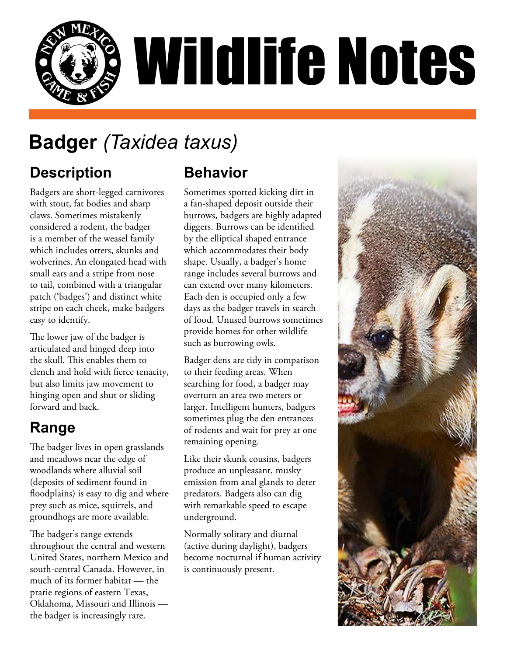

# **Badger** *(Taxidea taxus)*

### **Description**

Badgers are short-legged carnivores with stout, fat bodies and sharp claws. Sometimes mistakenly considered a rodent, the badger is a member of the weasel family which includes otters, skunks and wolverines. An elongated head with small ears and a stripe from nose to tail, combined with a triangular patch ('badges') and distinct white stripe on each cheek, make badgers easy to identify.

The lower jaw of the badger is articulated and hinged deep into the skull. This enables them to clench and hold with fierce tenacity, but also limits jaw movement to hinging open and shut or sliding forward and back.

#### **Range**

The badger lives in open grasslands and meadows near the edge of woodlands where alluvial soil (deposits of sediment found in floodplains) is easy to dig and where prey such as mice, squirrels, and groundhogs are more available.

The badger's range extends throughout the central and western United States, northern Mexico and south-central Canada. However, in much of its former habitat — the prarie regions of eastern Texas, Oklahoma, Missouri and Illinois the badger is increasingly rare.

#### **Behavior**

Sometimes spotted kicking dirt in a fan-shaped deposit outside their burrows, badgers are highly adapted diggers. Burrows can be identified by the elliptical shaped entrance which accommodates their body shape. Usually, a badger's home range includes several burrows and can extend over many kilometers. Each den is occupied only a few days as the badger travels in search of food. Unused burrows sometimes provide homes for other wildlife such as burrowing owls.

Badger dens are tidy in comparison to their feeding areas. When searching for food, a badger may overturn an area two meters or larger. Intelligent hunters, badgers sometimes plug the den entrances of rodents and wait for prey at one remaining opening.

Like their skunk cousins, badgers produce an unpleasant, musky emission from anal glands to deter predators. Badgers also can dig with remarkable speed to escape underground.

Normally solitary and diurnal (active during daylight), badgers become nocturnal if human activity is continuously present.